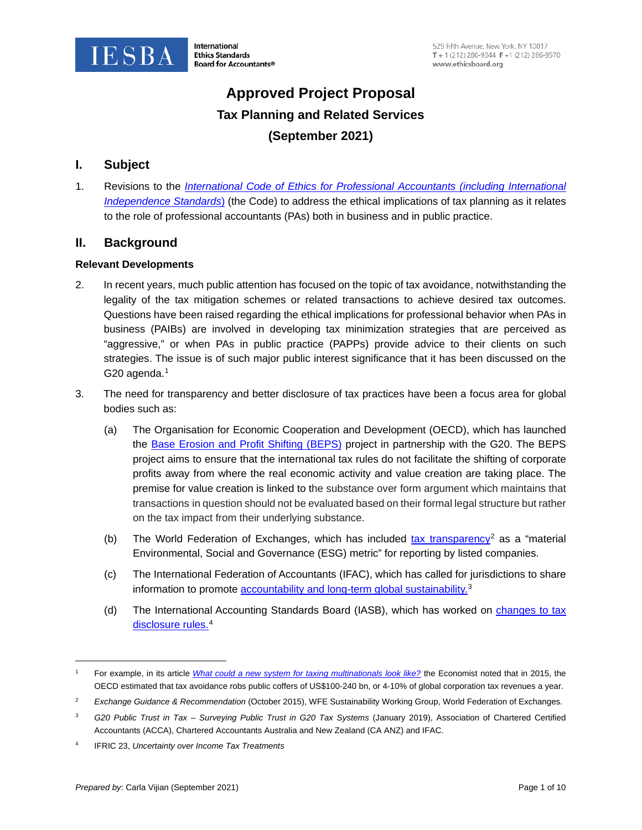

# **Approved Project Proposal Tax Planning and Related Services (September 2021)**

# **I. Subject**

1. Revisions to the *[International Code of Ethics for Professional Accountants \(including International](http://www.ethicsboard.org/revised-and-restructured-code-ethics)  [Independence Standards](http://www.ethicsboard.org/revised-and-restructured-code-ethics)*) (the Code) to address the ethical implications of tax planning as it relates to the role of professional accountants (PAs) both in business and in public practice.

# **II. Background**

### **Relevant Developments**

- 2. In recent years, much public attention has focused on the topic of tax avoidance, notwithstanding the legality of the tax mitigation schemes or related transactions to achieve desired tax outcomes. Questions have been raised regarding the ethical implications for professional behavior when PAs in business (PAIBs) are involved in developing tax minimization strategies that are perceived as "aggressive," or when PAs in public practice (PAPPs) provide advice to their clients on such strategies. The issue is of such major public interest significance that it has been discussed on the G20 agenda. $1$
- 3. The need for transparency and better disclosure of tax practices have been a focus area for global bodies such as:
	- (a) The Organisation for Economic Cooperation and Development (OECD), which has launched the [Base Erosion and Profit Shifting \(BEPS\)](https://www.oecd.org/tax/beps/) project in partnership with the G20. The BEPS project aims to ensure that the international tax rules do not facilitate the shifting of corporate profits away from where the real economic activity and value creation are taking place. The premise for value creation is linked to the substance over form argument which maintains that transactions in question should not be evaluated based on their formal legal structure but rather on the tax impact from their underlying substance.
	- (b) The World Federation of Exchanges, which has included [tax transparency](https://www.world-exchanges.org/storage/app/media/research/Studies_Reports/WFE%20ESG%20Recommendation%20Guidance%20and%20Metrics%20Oct%202015.pdf)<sup>[2](#page-0-1)</sup> as a "material" Environmental, Social and Governance (ESG) metric" for reporting by listed companies.
	- (c) The International Federation of Accountants (IFAC), which has called for jurisdictions to share information to promote **accountability and long-term global sustainability**.<sup>[3](#page-0-2)</sup>
	- (d) The International Accounting Standards Board (IASB), which has worked on [changes to tax](https://www.iasplus.com/en/standards/ifric/ifric-23)  [disclosure rules.](https://www.iasplus.com/en/standards/ifric/ifric-23) [4](#page-0-3)

<span id="page-0-0"></span><sup>1</sup> For example, in its article *[What could a new system for taxing multinationals look like?](https://www.economist.com/finance-and-economics/2021/05/13/what-could-a-new-system-for-taxing-multinationals-look-like?frsc=dg%7Ce)* the Economist noted that in 2015, the OECD estimated that tax avoidance robs public coffers of US\$100-240 bn, or 4-10% of global corporation tax revenues a year.

<span id="page-0-1"></span><sup>2</sup> *Exchange Guidance & Recommendation* (October 2015), WFE Sustainability Working Group, World Federation of Exchanges.

<span id="page-0-2"></span><sup>3</sup> *G20 Public Trust in Tax – Surveying Public Trust in G20 Tax Systems* (January 2019), Association of Chartered Certified Accountants (ACCA), Chartered Accountants Australia and New Zealand (CA ANZ) and IFAC.

<span id="page-0-3"></span><sup>4</sup> IFRIC 23, *Uncertainty over Income Tax Treatments*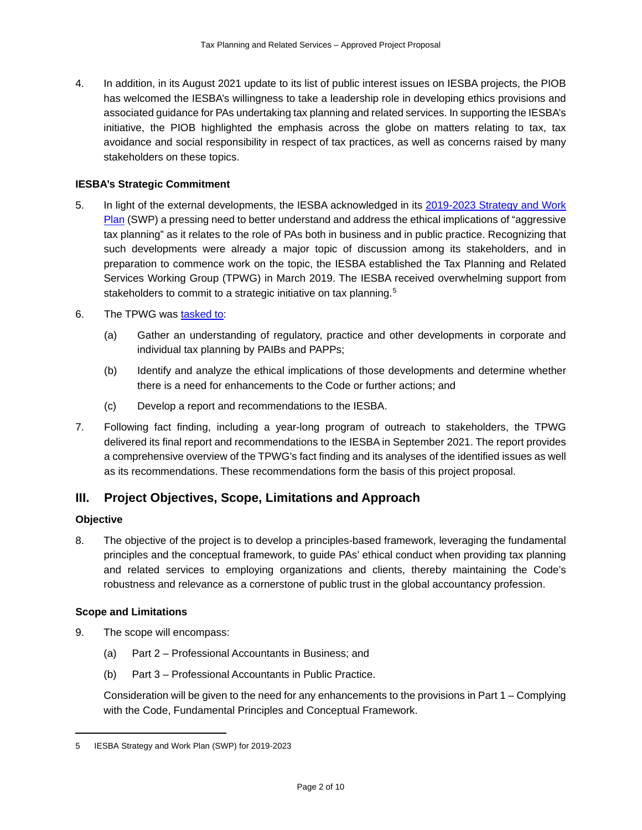4. In addition, in its August 2021 update to its list of public interest issues on IESBA projects, the PIOB has welcomed the IESBA's willingness to take a leadership role in developing ethics provisions and associated guidance for PAs undertaking tax planning and related services. In supporting the IESBA's initiative, the PIOB highlighted the emphasis across the globe on matters relating to tax, tax avoidance and social responsibility in respect of tax practices, as well as concerns raised by many stakeholders on these topics.

### **IESBA's Strategic Commitment**

- 5. In light of the external developments, the IESBA acknowledged in its [2019-2023 Strategy and Work](https://www.ifac.org/system/files/publications/files/IESBA-SWP-2019-2023-Final.pdf)  [Plan](https://www.ifac.org/system/files/publications/files/IESBA-SWP-2019-2023-Final.pdf) (SWP) a pressing need to better understand and address the ethical implications of "aggressive" tax planning" as it relates to the role of PAs both in business and in public practice. Recognizing that such developments were already a major topic of discussion among its stakeholders, and in preparation to commence work on the topic, the IESBA established the Tax Planning and Related Services Working Group (TPWG) in March 2019. The IESBA received overwhelming support from stakeholders to commit to a strategic initiative on tax planning.<sup>[5](#page-1-0)</sup>
- 6. The TPWG was [tasked to:](https://www.ifac.org/system/files/meetings/files/Agenda-Item-4A-Tax-Planning-and-Related-Services-Approved-Terms-of-Reference-Final_0.pdf)
	- (a) Gather an understanding of regulatory, practice and other developments in corporate and individual tax planning by PAIBs and PAPPs;
	- (b) Identify and analyze the ethical implications of those developments and determine whether there is a need for enhancements to the Code or further actions; and
	- (c) Develop a report and recommendations to the IESBA.
- 7. Following fact finding, including a year-long program of outreach to stakeholders, the TPWG delivered its final report and recommendations to the IESBA in September 2021. The report provides a comprehensive overview of the TPWG's fact finding and its analyses of the identified issues as well as its recommendations. These recommendations form the basis of this project proposal.

# **III. Project Objectives, Scope, Limitations and Approach**

#### **Objective**

8. The objective of the project is to develop a principles-based framework, leveraging the fundamental principles and the conceptual framework, to guide PAs' ethical conduct when providing tax planning and related services to employing organizations and clients, thereby maintaining the Code's robustness and relevance as a cornerstone of public trust in the global accountancy profession.

#### **Scope and Limitations**

- 9. The scope will encompass:
	- (a) Part 2 Professional Accountants in Business; and
	- (b) Part 3 Professional Accountants in Public Practice.

Consideration will be given to the need for any enhancements to the provisions in Part 1 – Complying with the Code, Fundamental Principles and Conceptual Framework.

<span id="page-1-0"></span><sup>5</sup> IESBA [Strategy and Work Plan \(SWP\) for 2019-2023](http://www.ifac.org/publications-resources/iesba-strategy-and-work-plan-2019-2023)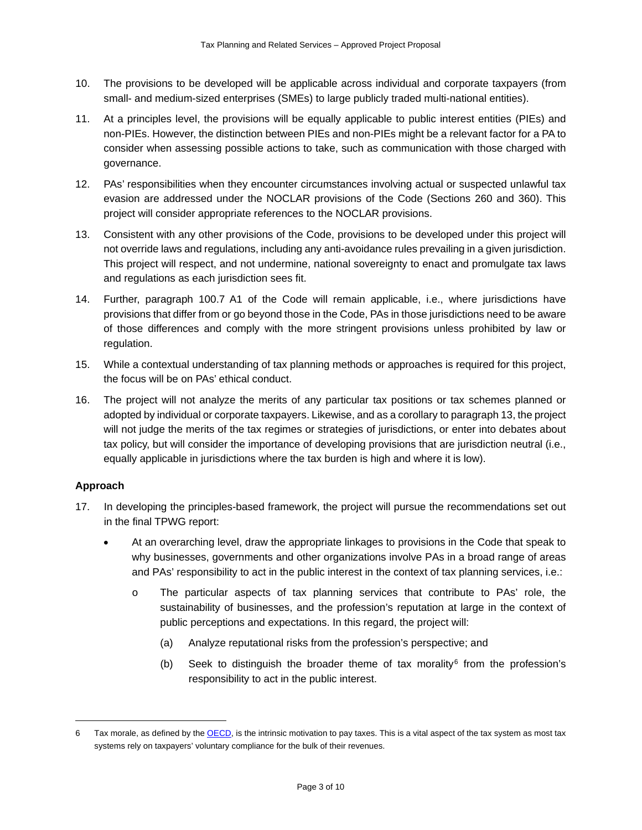- 10. The provisions to be developed will be applicable across individual and corporate taxpayers (from small- and medium-sized enterprises (SMEs) to large publicly traded multi-national entities).
- 11. At a principles level, the provisions will be equally applicable to public interest entities (PIEs) and non-PIEs. However, the distinction between PIEs and non-PIEs might be a relevant factor for a PA to consider when assessing possible actions to take, such as communication with those charged with governance.
- 12. PAs' responsibilities when they encounter circumstances involving actual or suspected unlawful tax evasion are addressed under the NOCLAR provisions of the Code (Sections 260 and 360). This project will consider appropriate references to the NOCLAR provisions.
- 13. Consistent with any other provisions of the Code, provisions to be developed under this project will not override laws and regulations, including any anti-avoidance rules prevailing in a given jurisdiction. This project will respect, and not undermine, national sovereignty to enact and promulgate tax laws and regulations as each jurisdiction sees fit.
- 14. Further, paragraph 100.7 A1 of the Code will remain applicable, i.e., where jurisdictions have provisions that differ from or go beyond those in the Code, PAs in those jurisdictions need to be aware of those differences and comply with the more stringent provisions unless prohibited by law or regulation.
- 15. While a contextual understanding of tax planning methods or approaches is required for this project, the focus will be on PAs' ethical conduct.
- 16. The project will not analyze the merits of any particular tax positions or tax schemes planned or adopted by individual or corporate taxpayers. Likewise, and as a corollary to paragraph 13, the project will not judge the merits of the tax regimes or strategies of jurisdictions, or enter into debates about tax policy, but will consider the importance of developing provisions that are jurisdiction neutral (i.e., equally applicable in jurisdictions where the tax burden is high and where it is low).

### **Approach**

- 17. In developing the principles-based framework, the project will pursue the recommendations set out in the final TPWG report:
	- At an overarching level, draw the appropriate linkages to provisions in the Code that speak to why businesses, governments and other organizations involve PAs in a broad range of areas and PAs' responsibility to act in the public interest in the context of tax planning services, i.e.:
		- o The particular aspects of tax planning services that contribute to PAs' role, the sustainability of businesses, and the profession's reputation at large in the context of public perceptions and expectations. In this regard, the project will:
			- (a) Analyze reputational risks from the profession's perspective; and
			- (b) Seek to distinguish the broader theme of tax morality<sup>[6](#page-2-0)</sup> from the profession's responsibility to act in the public interest.

<span id="page-2-0"></span><sup>6</sup> Tax morale, as defined by th[e OECD,](https://www.oecd.org/tax/tax-morale-f3d8ea10-en.htm) is the intrinsic motivation to pay taxes. This is a vital aspect of the tax system as most tax systems rely on taxpayers' voluntary compliance for the bulk of their revenues.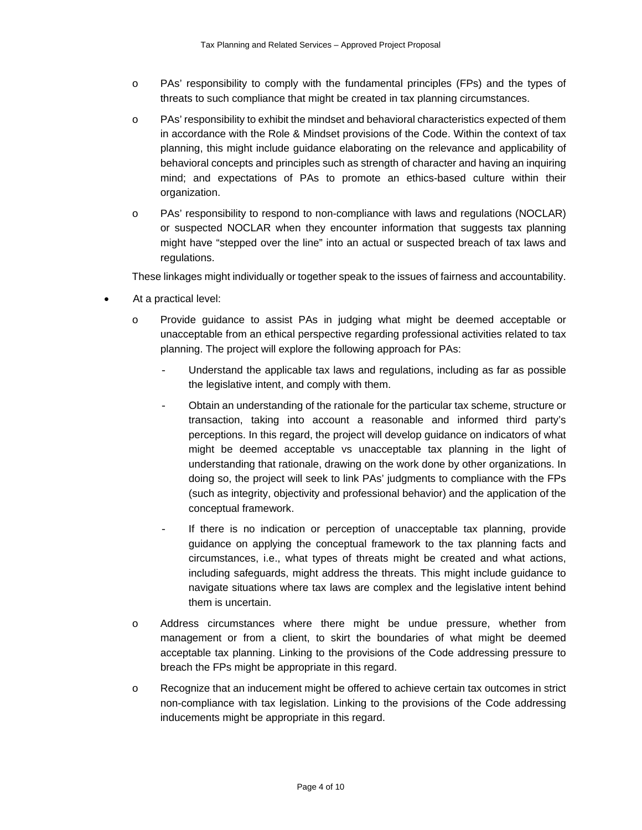- o PAs' responsibility to comply with the fundamental principles (FPs) and the types of threats to such compliance that might be created in tax planning circumstances.
- o PAs' responsibility to exhibit the mindset and behavioral characteristics expected of them in accordance with the Role & Mindset provisions of the Code. Within the context of tax planning, this might include guidance elaborating on the relevance and applicability of behavioral concepts and principles such as strength of character and having an inquiring mind; and expectations of PAs to promote an ethics-based culture within their organization.
- o PAs' responsibility to respond to non-compliance with laws and regulations (NOCLAR) or suspected NOCLAR when they encounter information that suggests tax planning might have "stepped over the line" into an actual or suspected breach of tax laws and regulations.

These linkages might individually or together speak to the issues of fairness and accountability.

- At a practical level:
	- o Provide guidance to assist PAs in judging what might be deemed acceptable or unacceptable from an ethical perspective regarding professional activities related to tax planning. The project will explore the following approach for PAs:
		- Understand the applicable tax laws and regulations, including as far as possible the legislative intent, and comply with them.
		- Obtain an understanding of the rationale for the particular tax scheme, structure or transaction, taking into account a reasonable and informed third party's perceptions. In this regard, the project will develop guidance on indicators of what might be deemed acceptable vs unacceptable tax planning in the light of understanding that rationale, drawing on the work done by other organizations. In doing so, the project will seek to link PAs' judgments to compliance with the FPs (such as integrity, objectivity and professional behavior) and the application of the conceptual framework.
		- If there is no indication or perception of unacceptable tax planning, provide guidance on applying the conceptual framework to the tax planning facts and circumstances, i.e., what types of threats might be created and what actions, including safeguards, might address the threats. This might include guidance to navigate situations where tax laws are complex and the legislative intent behind them is uncertain.
	- o Address circumstances where there might be undue pressure, whether from management or from a client, to skirt the boundaries of what might be deemed acceptable tax planning. Linking to the provisions of the Code addressing pressure to breach the FPs might be appropriate in this regard.
	- o Recognize that an inducement might be offered to achieve certain tax outcomes in strict non-compliance with tax legislation. Linking to the provisions of the Code addressing inducements might be appropriate in this regard.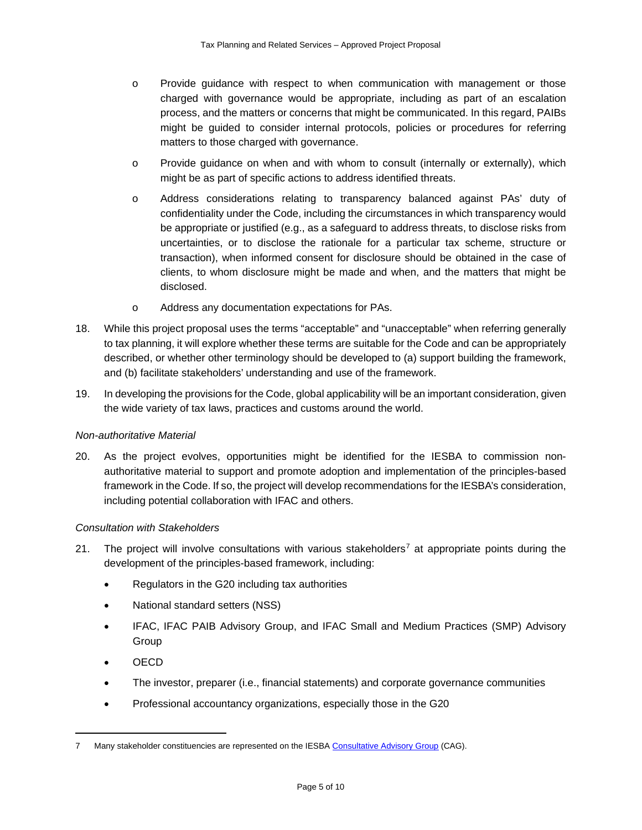- o Provide guidance with respect to when communication with management or those charged with governance would be appropriate, including as part of an escalation process, and the matters or concerns that might be communicated. In this regard, PAIBs might be guided to consider internal protocols, policies or procedures for referring matters to those charged with governance.
- o Provide guidance on when and with whom to consult (internally or externally), which might be as part of specific actions to address identified threats.
- o Address considerations relating to transparency balanced against PAs' duty of confidentiality under the Code, including the circumstances in which transparency would be appropriate or justified (e.g., as a safeguard to address threats, to disclose risks from uncertainties, or to disclose the rationale for a particular tax scheme, structure or transaction), when informed consent for disclosure should be obtained in the case of clients, to whom disclosure might be made and when, and the matters that might be disclosed.
- o Address any documentation expectations for PAs.
- 18. While this project proposal uses the terms "acceptable" and "unacceptable" when referring generally to tax planning, it will explore whether these terms are suitable for the Code and can be appropriately described, or whether other terminology should be developed to (a) support building the framework, and (b) facilitate stakeholders' understanding and use of the framework.
- 19. In developing the provisions for the Code, global applicability will be an important consideration, given the wide variety of tax laws, practices and customs around the world.

### *Non-authoritative Material*

20. As the project evolves, opportunities might be identified for the IESBA to commission nonauthoritative material to support and promote adoption and implementation of the principles-based framework in the Code. If so, the project will develop recommendations for the IESBA's consideration, including potential collaboration with IFAC and others.

#### *Consultation with Stakeholders*

- 21. The project will involve consultations with various stakeholders<sup>[7](#page-4-0)</sup> at appropriate points during the development of the principles-based framework, including:
	- Regulators in the G20 including tax authorities
	- National standard setters (NSS)
	- IFAC, IFAC PAIB Advisory Group, and IFAC Small and Medium Practices (SMP) Advisory Group
	- OECD
	- The investor, preparer (i.e., financial statements) and corporate governance communities
	- Professional accountancy organizations, especially those in the G20

<span id="page-4-0"></span><sup>7</sup> Many stakeholder constituencies are represented on the IESBA [Consultative Advisory Group](https://www.ethicsboard.org/consultative-advisory-group) (CAG).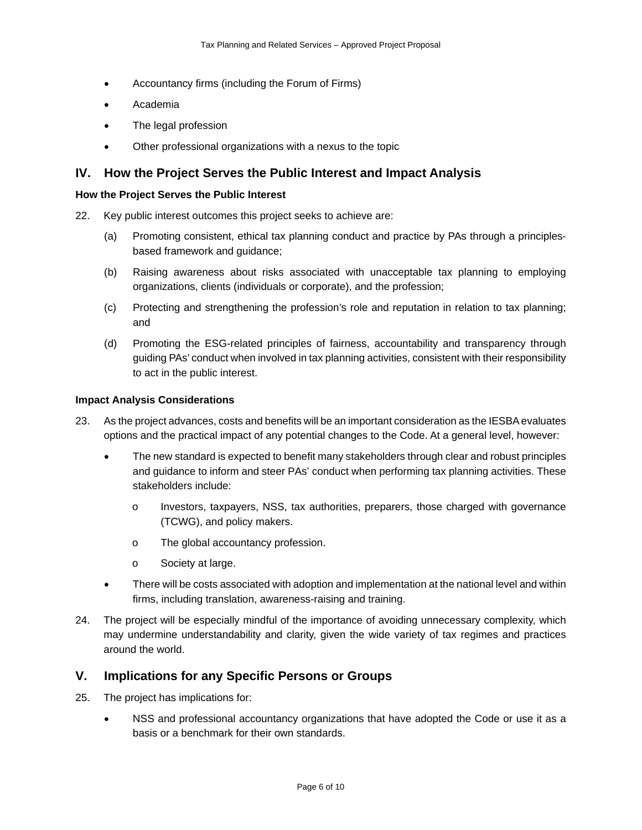- Accountancy firms (including the Forum of Firms)
- Academia
- The legal profession
- Other professional organizations with a nexus to the topic

## **IV. How the Project Serves the Public Interest and Impact Analysis**

#### **How the Project Serves the Public Interest**

- 22. Key public interest outcomes this project seeks to achieve are:
	- (a) Promoting consistent, ethical tax planning conduct and practice by PAs through a principlesbased framework and guidance;
	- (b) Raising awareness about risks associated with unacceptable tax planning to employing organizations, clients (individuals or corporate), and the profession;
	- (c) Protecting and strengthening the profession's role and reputation in relation to tax planning; and
	- (d) Promoting the ESG-related principles of fairness, accountability and transparency through guiding PAs' conduct when involved in tax planning activities, consistent with their responsibility to act in the public interest.

#### **Impact Analysis Considerations**

- 23. As the project advances, costs and benefits will be an important consideration as the IESBA evaluates options and the practical impact of any potential changes to the Code. At a general level, however:
	- The new standard is expected to benefit many stakeholders through clear and robust principles and guidance to inform and steer PAs' conduct when performing tax planning activities. These stakeholders include:
		- o Investors, taxpayers, NSS, tax authorities, preparers, those charged with governance (TCWG), and policy makers.
		- o The global accountancy profession.
		- o Society at large.
	- There will be costs associated with adoption and implementation at the national level and within firms, including translation, awareness-raising and training.
- 24. The project will be especially mindful of the importance of avoiding unnecessary complexity, which may undermine understandability and clarity, given the wide variety of tax regimes and practices around the world.

### **V. Implications for any Specific Persons or Groups**

- 25. The project has implications for:
	- NSS and professional accountancy organizations that have adopted the Code or use it as a basis or a benchmark for their own standards.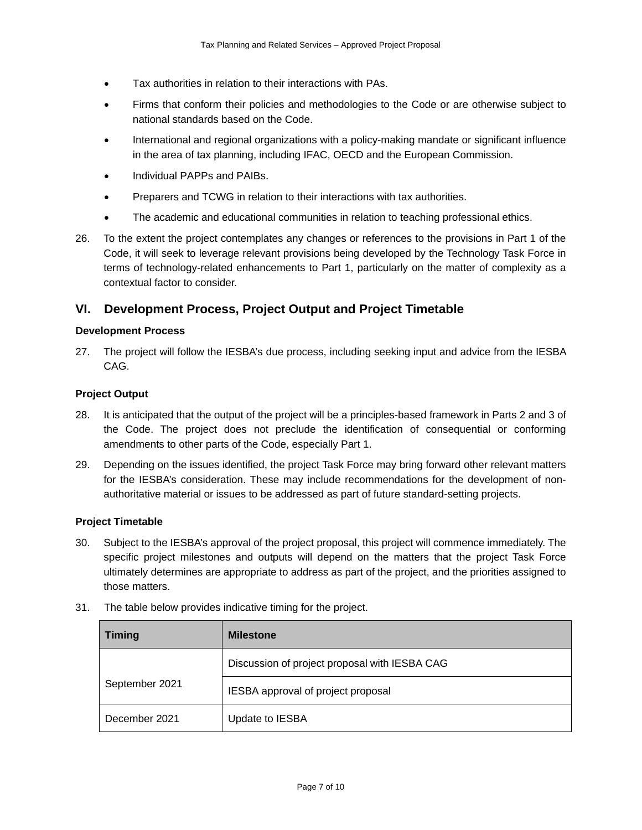- Tax authorities in relation to their interactions with PAs.
- Firms that conform their policies and methodologies to the Code or are otherwise subject to national standards based on the Code.
- International and regional organizations with a policy-making mandate or significant influence in the area of tax planning, including IFAC, OECD and the European Commission.
- Individual PAPPs and PAIBs.
- Preparers and TCWG in relation to their interactions with tax authorities.
- The academic and educational communities in relation to teaching professional ethics.
- 26. To the extent the project contemplates any changes or references to the provisions in Part 1 of the Code, it will seek to leverage relevant provisions being developed by the Technology Task Force in terms of technology-related enhancements to Part 1, particularly on the matter of complexity as a contextual factor to consider.

# **VI. Development Process, Project Output and Project Timetable**

#### **Development Process**

27. The project will follow the IESBA's due process, including seeking input and advice from the IESBA CAG.

#### **Project Output**

- 28. It is anticipated that the output of the project will be a principles-based framework in Parts 2 and 3 of the Code. The project does not preclude the identification of consequential or conforming amendments to other parts of the Code, especially Part 1.
- 29. Depending on the issues identified, the project Task Force may bring forward other relevant matters for the IESBA's consideration. These may include recommendations for the development of nonauthoritative material or issues to be addressed as part of future standard-setting projects.

#### **Project Timetable**

30. Subject to the IESBA's approval of the project proposal, this project will commence immediately. The specific project milestones and outputs will depend on the matters that the project Task Force ultimately determines are appropriate to address as part of the project, and the priorities assigned to those matters.

| <b>Timing</b>  | <b>Milestone</b>                              |
|----------------|-----------------------------------------------|
|                | Discussion of project proposal with IESBA CAG |
| September 2021 | IESBA approval of project proposal            |
| December 2021  | Update to IESBA                               |

31. The table below provides indicative timing for the project.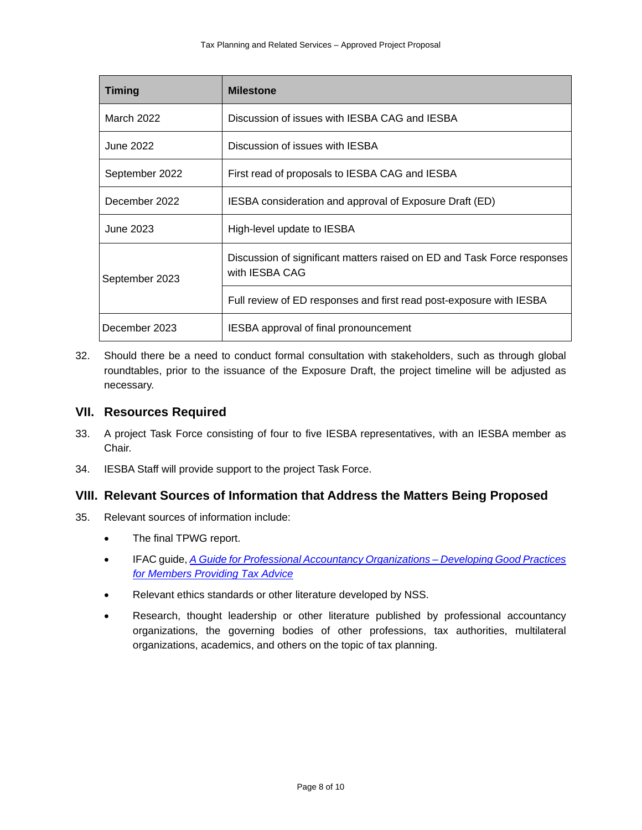| <b>Timing</b>  | <b>Milestone</b>                                                                          |
|----------------|-------------------------------------------------------------------------------------------|
| March 2022     | Discussion of issues with IESBA CAG and IESBA                                             |
| June 2022      | Discussion of issues with IESBA                                                           |
| September 2022 | First read of proposals to IESBA CAG and IESBA                                            |
| December 2022  | IESBA consideration and approval of Exposure Draft (ED)                                   |
| June 2023      | High-level update to IESBA                                                                |
| September 2023 | Discussion of significant matters raised on ED and Task Force responses<br>with IESBA CAG |
|                | Full review of ED responses and first read post-exposure with IESBA                       |
| December 2023  | <b>IESBA</b> approval of final pronouncement                                              |

32. Should there be a need to conduct formal consultation with stakeholders, such as through global roundtables, prior to the issuance of the Exposure Draft, the project timeline will be adjusted as necessary.

### **VII. Resources Required**

- 33. A project Task Force consisting of four to five IESBA representatives, with an IESBA member as Chair.
- 34. IESBA Staff will provide support to the project Task Force.

# **VIII. Relevant Sources of Information that Address the Matters Being Proposed**

- 35. Relevant sources of information include:
	- The final TPWG report.
	- IFAC guide, *[A Guide for Professional Accountancy Organizations –](https://www.ifac.org/system/files/publications/files/IFAC-PAO-Tax-Advisor-Guidance.pdf) Developing Good Practices [for Members Providing Tax Advice](https://www.ifac.org/system/files/publications/files/IFAC-PAO-Tax-Advisor-Guidance.pdf)*
	- Relevant ethics standards or other literature developed by NSS.
	- Research, thought leadership or other literature published by professional accountancy organizations, the governing bodies of other professions, tax authorities, multilateral organizations, academics, and others on the topic of tax planning.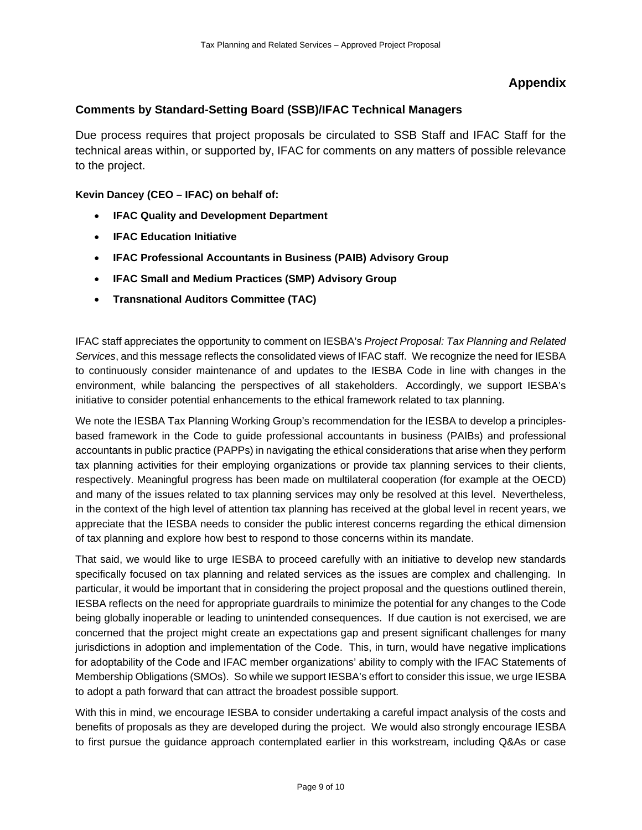# **Appendix**

# **Comments by Standard-Setting Board (SSB)/IFAC Technical Managers**

Due process requires that project proposals be circulated to SSB Staff and IFAC Staff for the technical areas within, or supported by, IFAC for comments on any matters of possible relevance to the project.

**Kevin Dancey (CEO – IFAC) on behalf of:**

- **IFAC Quality and Development Department**
- **IFAC Education Initiative**
- **IFAC Professional Accountants in Business (PAIB) Advisory Group**
- **IFAC Small and Medium Practices (SMP) Advisory Group**
- **Transnational Auditors Committee (TAC)**

IFAC staff appreciates the opportunity to comment on IESBA's *Project Proposal: Tax Planning and Related Services*, and this message reflects the consolidated views of IFAC staff. We recognize the need for IESBA to continuously consider maintenance of and updates to the IESBA Code in line with changes in the environment, while balancing the perspectives of all stakeholders. Accordingly, we support IESBA's initiative to consider potential enhancements to the ethical framework related to tax planning.

We note the IESBA Tax Planning Working Group's recommendation for the IESBA to develop a principlesbased framework in the Code to guide professional accountants in business (PAIBs) and professional accountants in public practice (PAPPs) in navigating the ethical considerations that arise when they perform tax planning activities for their employing organizations or provide tax planning services to their clients, respectively. Meaningful progress has been made on multilateral cooperation (for example at the OECD) and many of the issues related to tax planning services may only be resolved at this level. Nevertheless, in the context of the high level of attention tax planning has received at the global level in recent years, we appreciate that the IESBA needs to consider the public interest concerns regarding the ethical dimension of tax planning and explore how best to respond to those concerns within its mandate.

That said, we would like to urge IESBA to proceed carefully with an initiative to develop new standards specifically focused on tax planning and related services as the issues are complex and challenging. In particular, it would be important that in considering the project proposal and the questions outlined therein, IESBA reflects on the need for appropriate guardrails to minimize the potential for any changes to the Code being globally inoperable or leading to unintended consequences. If due caution is not exercised, we are concerned that the project might create an expectations gap and present significant challenges for many jurisdictions in adoption and implementation of the Code. This, in turn, would have negative implications for adoptability of the Code and IFAC member organizations' ability to comply with the IFAC Statements of Membership Obligations (SMOs). So while we support IESBA's effort to consider this issue, we urge IESBA to adopt a path forward that can attract the broadest possible support.

With this in mind, we encourage IESBA to consider undertaking a careful impact analysis of the costs and benefits of proposals as they are developed during the project. We would also strongly encourage IESBA to first pursue the guidance approach contemplated earlier in this workstream, including Q&As or case